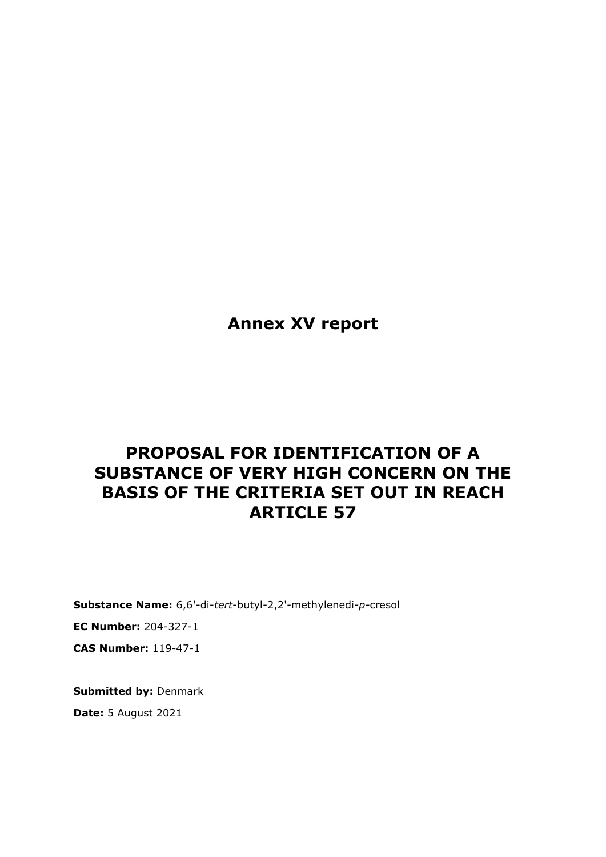**Annex XV report**

# **PROPOSAL FOR IDENTIFICATION OF A SUBSTANCE OF VERY HIGH CONCERN ON THE BASIS OF THE CRITERIA SET OUT IN REACH ARTICLE 57**

**Substance Name:** 6,6'-di-*tert*-butyl-2,2'-methylenedi*-p-*cresol

**EC Number:** 204-327-1

**CAS Number:** 119-47-1

**Submitted by:** Denmark **Date:** 5 August 2021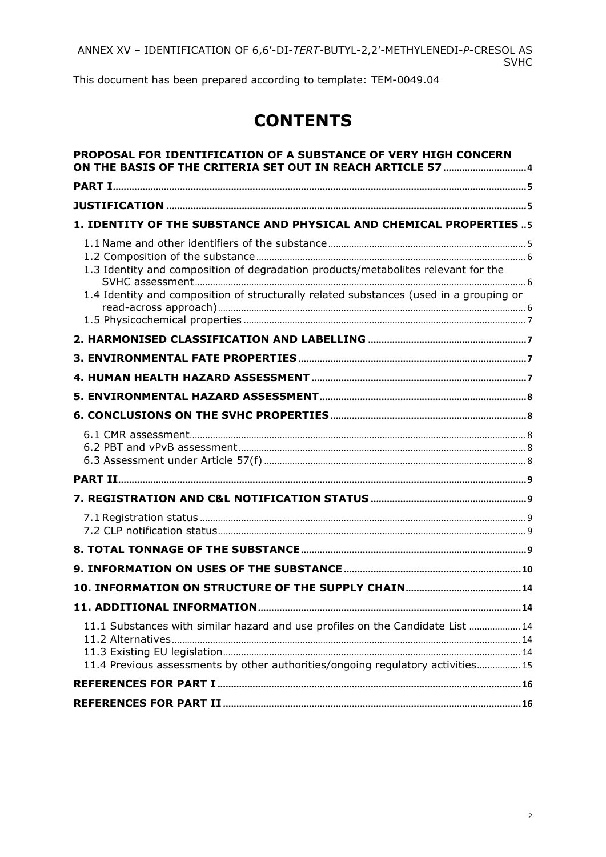This document has been prepared according to template: TEM-0049.04

# **CONTENTS**

| PROPOSAL FOR IDENTIFICATION OF A SUBSTANCE OF VERY HIGH CONCERN                                                                                                             |      |
|-----------------------------------------------------------------------------------------------------------------------------------------------------------------------------|------|
|                                                                                                                                                                             |      |
|                                                                                                                                                                             |      |
| 1. IDENTITY OF THE SUBSTANCE AND PHYSICAL AND CHEMICAL PROPERTIES  5                                                                                                        |      |
| 1.3 Identity and composition of degradation products/metabolites relevant for the<br>1.4 Identity and composition of structurally related substances (used in a grouping or |      |
|                                                                                                                                                                             |      |
|                                                                                                                                                                             |      |
|                                                                                                                                                                             |      |
|                                                                                                                                                                             |      |
|                                                                                                                                                                             |      |
|                                                                                                                                                                             |      |
|                                                                                                                                                                             |      |
|                                                                                                                                                                             |      |
|                                                                                                                                                                             |      |
|                                                                                                                                                                             |      |
|                                                                                                                                                                             |      |
| 11. ADDITIONAL INFORMATION.                                                                                                                                                 |      |
|                                                                                                                                                                             | . 14 |
| 11.1 Substances with similar hazard and use profiles on the Candidate List  14<br>11.4 Previous assessments by other authorities/ongoing regulatory activities 15           |      |
|                                                                                                                                                                             |      |
|                                                                                                                                                                             |      |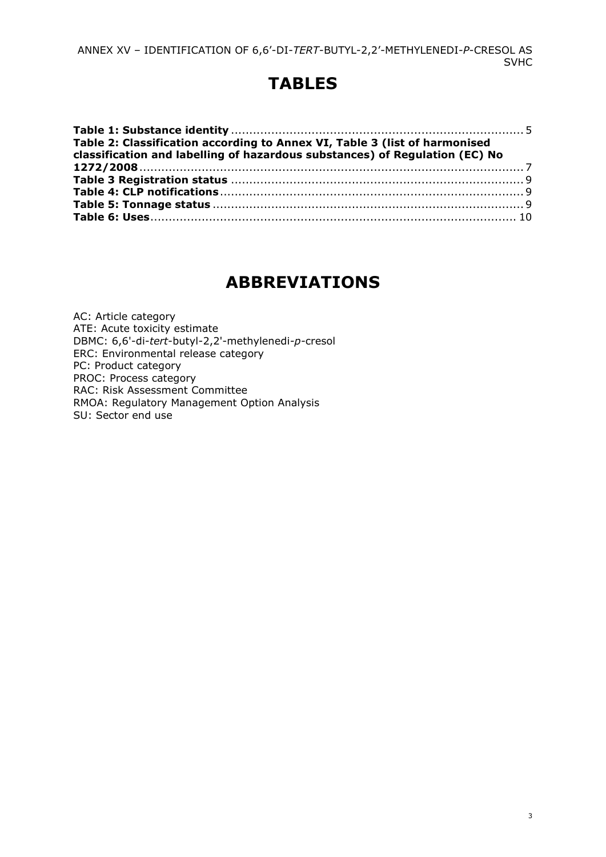# **TABLES**

| Table 2: Classification according to Annex VI, Table 3 (list of harmonised<br>classification and labelling of hazardous substances) of Regulation (EC) No |  |
|-----------------------------------------------------------------------------------------------------------------------------------------------------------|--|
|                                                                                                                                                           |  |
|                                                                                                                                                           |  |
|                                                                                                                                                           |  |
|                                                                                                                                                           |  |
|                                                                                                                                                           |  |

# **ABBREVIATIONS**

AC: Article category ATE: Acute toxicity estimate DBMC: 6,6'-di-*tert*-butyl-2,2'-methylenedi*-p-*cresol ERC: Environmental release category PC: Product category PROC: Process category RAC: Risk Assessment Committee RMOA: Regulatory Management Option Analysis SU: Sector end use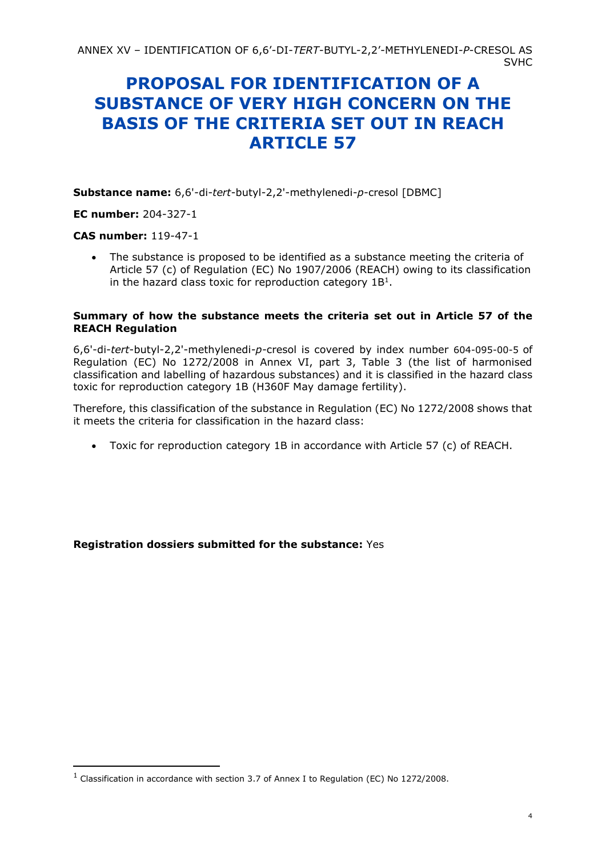# <span id="page-3-0"></span>**PROPOSAL FOR IDENTIFICATION OF A SUBSTANCE OF VERY HIGH CONCERN ON THE BASIS OF THE CRITERIA SET OUT IN REACH ARTICLE 57**

**Substance name:** 6,6'-di-*tert*-butyl-2,2'-methylenedi*-p-*cresol [DBMC]

**EC number:** 204-327-1

#### **CAS number:** 119-47-1

• The substance is proposed to be identified as a substance meeting the criteria of Article 57 (c) of Regulation (EC) No 1907/2006 (REACH) owing to its classification in the hazard class toxic for reproduction category  $1B<sup>1</sup>$ .

#### **Summary of how the substance meets the criteria set out in Article 57 of the REACH Regulation**

6,6'-di-*tert*-butyl-2,2'-methylenedi*-p-*cresol is covered by index number 604-095-00-5 of Regulation (EC) No 1272/2008 in Annex VI, part 3, Table 3 (the list of harmonised classification and labelling of hazardous substances) and it is classified in the hazard class toxic for reproduction category 1B (H360F May damage fertility).

Therefore, this classification of the substance in Regulation (EC) No 1272/2008 shows that it meets the criteria for classification in the hazard class:

• Toxic for reproduction category 1B in accordance with Article 57 (c) of REACH.

**Registration dossiers submitted for the substance:** Yes

<sup>&</sup>lt;sup>1</sup> Classification in accordance with section 3.7 of Annex I to Regulation (EC) No 1272/2008.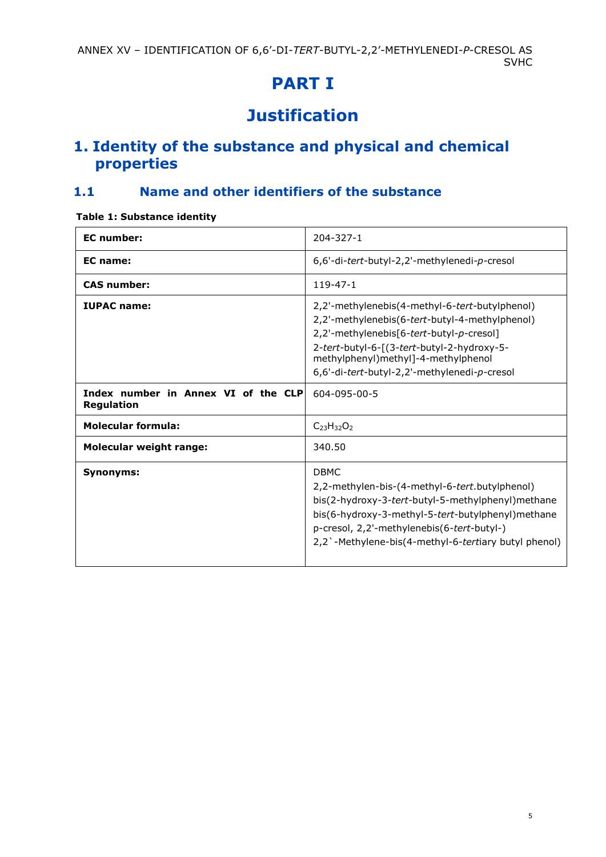# **PART I**

# **Justification**

# <span id="page-4-2"></span><span id="page-4-1"></span><span id="page-4-0"></span>**1. Identity of the substance and physical and chemical properties**

## <span id="page-4-3"></span>**1.1 Name and other identifiers of the substance**

#### <span id="page-4-4"></span>**Table 1: Substance identity**

| <b>EC</b> number:                                        | $204 - 327 - 1$                                                                                                                                                                                                                                                                   |
|----------------------------------------------------------|-----------------------------------------------------------------------------------------------------------------------------------------------------------------------------------------------------------------------------------------------------------------------------------|
| EC name:                                                 | 6,6'-di-tert-butyl-2,2'-methylenedi-p-cresol                                                                                                                                                                                                                                      |
| <b>CAS number:</b>                                       | $119 - 47 - 1$                                                                                                                                                                                                                                                                    |
| <b>IUPAC name:</b>                                       | 2,2'-methylenebis(4-methyl-6-tert-butylphenol)<br>2,2'-methylenebis(6-tert-butyl-4-methylphenol)<br>2,2'-methylenebis[6-tert-butyl-p-cresol]<br>2-tert-butyl-6-[(3-tert-butyl-2-hydroxy-5-<br>methylphenyl)methyl]-4-methylphenol<br>6,6'-di-tert-butyl-2,2'-methylenedi-p-cresol |
| Index number in Annex VI of the CLP<br><b>Regulation</b> | 604-095-00-5                                                                                                                                                                                                                                                                      |
| <b>Molecular formula:</b>                                | $C_{23}H_{32}O_2$                                                                                                                                                                                                                                                                 |
| <b>Molecular weight range:</b>                           | 340.50                                                                                                                                                                                                                                                                            |
| <b>Synonyms:</b>                                         | <b>DBMC</b><br>2,2-methylen-bis-(4-methyl-6-tert.butylphenol)<br>bis(2-hydroxy-3-tert-butyl-5-methylphenyl) methane<br>bis(6-hydroxy-3-methyl-5-tert-butylphenyl)methane<br>p-cresol, 2,2'-methylenebis(6-tert-butyl-)<br>2,2'-Methylene-bis(4-methyl-6-tertiary butyl phenol)    |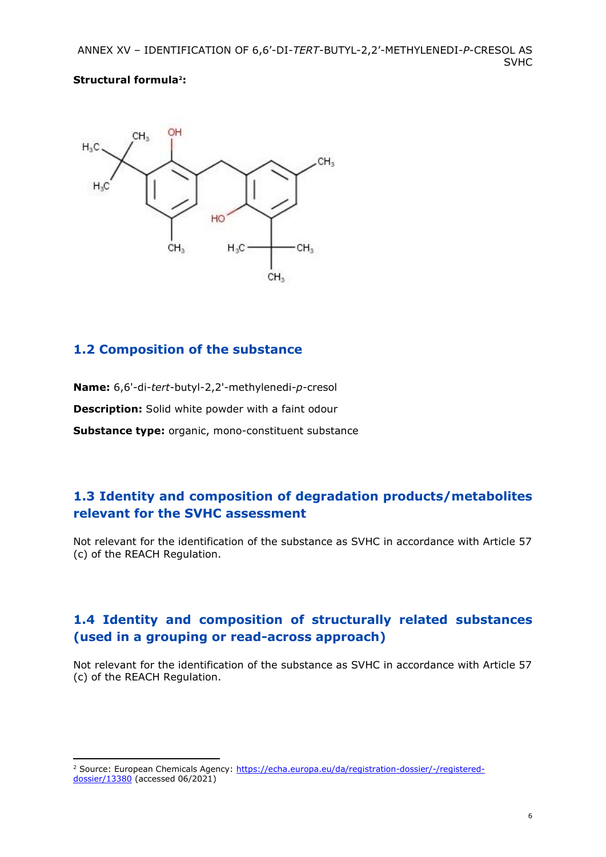#### **Structural formula2:**



### <span id="page-5-0"></span>**1.2 Composition of the substance**

**Name:** 6,6'-di-*tert*-butyl-2,2'-methylenedi*-p-*cresol **Description:** Solid white powder with a faint odour **Substance type:** organic, mono-constituent substance

### <span id="page-5-1"></span>**1.3 Identity and composition of degradation products/metabolites relevant for the SVHC assessment**

Not relevant for the identification of the substance as SVHC in accordance with Article 57 (c) of the REACH Regulation.

### <span id="page-5-2"></span>**1.4 Identity and composition of structurally related substances (used in a grouping or read-across approach)**

Not relevant for the identification of the substance as SVHC in accordance with Article 57 (c) of the REACH Regulation.

<sup>2</sup> Source: European Chemicals Agency: [https://echa.europa.eu/da/registration-dossier/-/registered](https://echa.europa.eu/da/registration-dossier/-/registered-dossier/13380)[dossier/13380](https://echa.europa.eu/da/registration-dossier/-/registered-dossier/13380) (accessed 06/2021)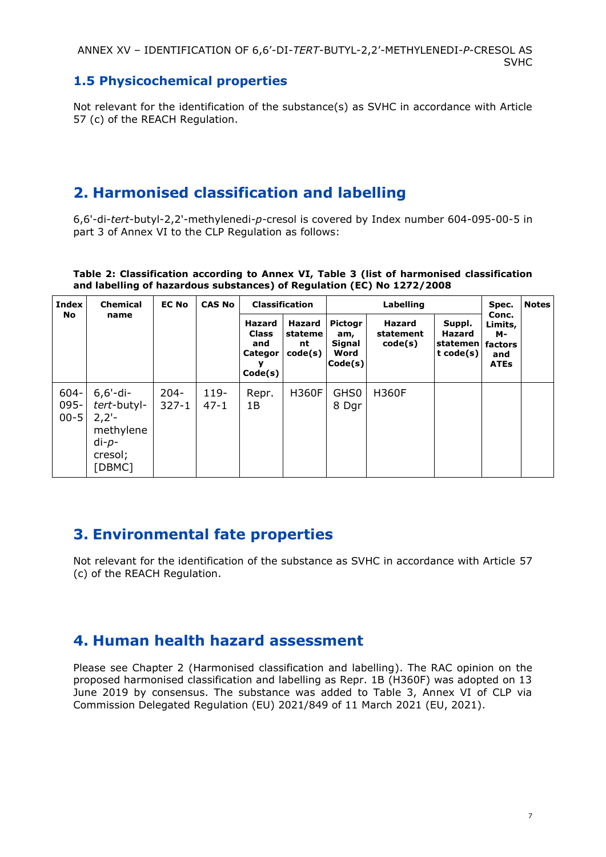### <span id="page-6-0"></span>**1.5 Physicochemical properties**

Not relevant for the identification of the substance(s) as SVHC in accordance with Article 57 (c) of the REACH Regulation.

# <span id="page-6-1"></span>**2. Harmonised classification and labelling**

6,6'-di-*tert*-butyl-2,2'-methylenedi*-p-*cresol is covered by Index number 604-095-00-5 in part 3 of Annex VI to the CLP Regulation as follows:

| Index |                                | <b>Chemical</b>                                                                     | name                 | <b>EC No</b>       |             | <b>CAS No</b>                                       |                                     | <b>Classification</b>                              |                                       | Labelling                                 |                                                         | Spec. | <b>Notes</b> |
|-------|--------------------------------|-------------------------------------------------------------------------------------|----------------------|--------------------|-------------|-----------------------------------------------------|-------------------------------------|----------------------------------------------------|---------------------------------------|-------------------------------------------|---------------------------------------------------------|-------|--------------|
| No    |                                |                                                                                     |                      |                    |             | Hazard<br><b>Class</b><br>and<br>Categor<br>Code(s) | Hazard<br>stateme<br>nt.<br>code(s) | <b>Pictogr</b><br>am,<br>Signal<br>Word<br>Code(s) | <b>Hazard</b><br>statement<br>code(s) | Suppl.<br>Hazard<br>statemen<br>t code(s) | Conc.<br>Limits,<br>м-<br>factors<br>and<br><b>ATEs</b> |       |              |
|       | $604 -$<br>$095 -$<br>$00 - 5$ | $6, 6'$ -di-<br>tert-butyl-<br>$2,2'-$<br>methylene<br>$di-p-$<br>cresol;<br>[DBMC] | $204 -$<br>$327 - 1$ | $119-$<br>$47 - 1$ | Repr.<br>1B | <b>H360F</b>                                        | GHS <sub>0</sub><br>8 Dgr           | <b>H360F</b>                                       |                                       |                                           |                                                         |       |              |

#### <span id="page-6-4"></span>**Table 2: Classification according to Annex VI, Table 3 (list of harmonised classification and labelling of hazardous substances) of Regulation (EC) No 1272/2008**

## <span id="page-6-2"></span>**3. Environmental fate properties**

Not relevant for the identification of the substance as SVHC in accordance with Article 57 (c) of the REACH Regulation.

## <span id="page-6-3"></span>**4. Human health hazard assessment**

Please see Chapter 2 (Harmonised classification and labelling). The RAC opinion on the proposed harmonised classification and labelling as Repr. 1B (H360F) was adopted on 13 June 2019 by consensus. The substance was added to Table 3, Annex VI of CLP via Commission Delegated Regulation (EU) 2021/849 of 11 March 2021 (EU, 2021).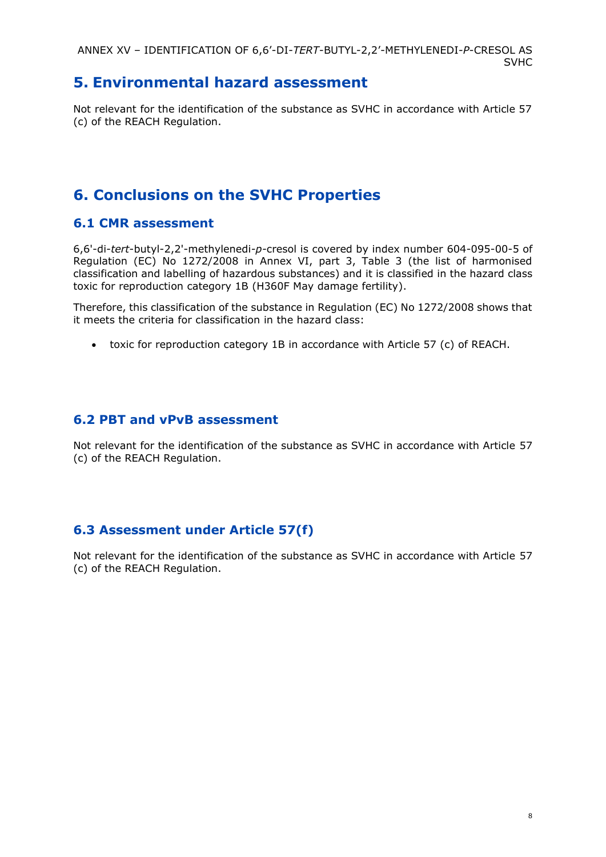## <span id="page-7-0"></span>**5. Environmental hazard assessment**

Not relevant for the identification of the substance as SVHC in accordance with Article 57 (c) of the REACH Regulation.

# <span id="page-7-1"></span>**6. Conclusions on the SVHC Properties**

### <span id="page-7-2"></span>**6.1 CMR assessment**

6,6'-di-*tert*-butyl-2,2'-methylenedi*-p-*cresol is covered by index number 604-095-00-5 of Regulation (EC) No 1272/2008 in Annex VI, part 3, Table 3 (the list of harmonised classification and labelling of hazardous substances) and it is classified in the hazard class toxic for reproduction category 1B (H360F May damage fertility).

Therefore, this classification of the substance in Regulation (EC) No 1272/2008 shows that it meets the criteria for classification in the hazard class:

• toxic for reproduction category 1B in accordance with Article 57 (c) of REACH.

### <span id="page-7-3"></span>**6.2 PBT and vPvB assessment**

Not relevant for the identification of the substance as SVHC in accordance with Article 57 (c) of the REACH Regulation.

### <span id="page-7-4"></span>**6.3 Assessment under Article 57(f)**

Not relevant for the identification of the substance as SVHC in accordance with Article 57 (c) of the REACH Regulation.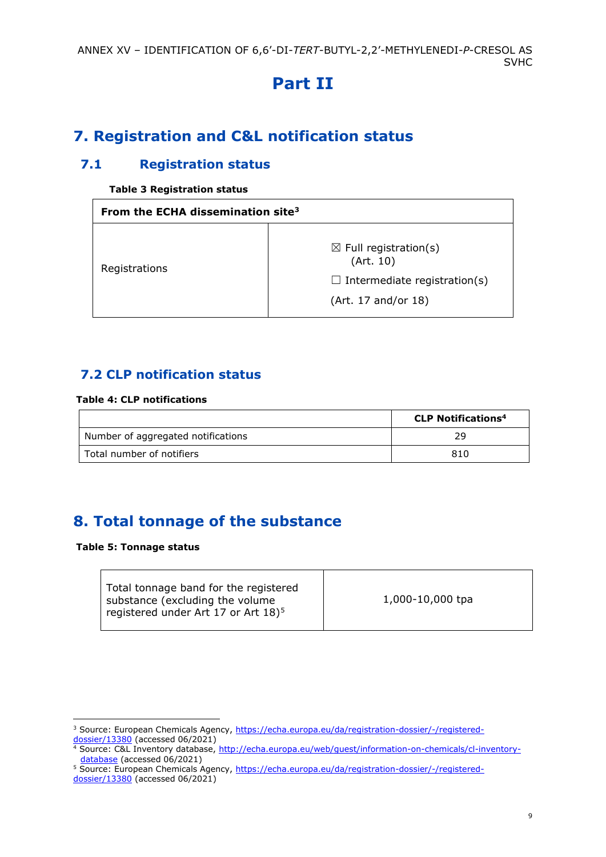# **Part II**

# <span id="page-8-1"></span><span id="page-8-0"></span>**7. Registration and C&L notification status**

### <span id="page-8-2"></span>**7.1 Registration status**

#### **Table 3 Registration status**

<span id="page-8-5"></span>

| From the ECHA dissemination site <sup>3</sup> |                                                                                                             |  |  |
|-----------------------------------------------|-------------------------------------------------------------------------------------------------------------|--|--|
| Registrations                                 | $\boxtimes$ Full registration(s)<br>(Art. 10)<br>$\Box$ Intermediate registration(s)<br>(Art. 17 and/or 18) |  |  |

### <span id="page-8-3"></span>**7.2 CLP notification status**

#### <span id="page-8-6"></span>**Table 4: CLP notifications**

|                                    | <b>CLP Notifications<sup>4</sup></b> |
|------------------------------------|--------------------------------------|
| Number of aggregated notifications | 29.                                  |
| Total number of notifiers          | 810                                  |

# <span id="page-8-4"></span>**8. Total tonnage of the substance**

#### <span id="page-8-7"></span>**Table 5: Tonnage status**

| Total tonnage band for the registered<br>substance (excluding the volume<br>registered under Art 17 or Art $18)^5$ | 1,000-10,000 tpa |
|--------------------------------------------------------------------------------------------------------------------|------------------|
|                                                                                                                    |                  |

<sup>&</sup>lt;sup>3</sup> Source: European Chemicals Agency, [https://echa.europa.eu/da/registration-dossier/-/registered](https://echa.europa.eu/da/registration-dossier/-/registered-dossier/13380)[dossier/13380](https://echa.europa.eu/da/registration-dossier/-/registered-dossier/13380) (accessed 06/2021)

<sup>4</sup> Source: C&L Inventory database, [http://echa.europa.eu/web/guest/information-on-chemicals/cl-inventory](http://echa.europa.eu/web/guest/information-on-chemicals/cl-inventory-database)[database](http://echa.europa.eu/web/guest/information-on-chemicals/cl-inventory-database) (accessed 06/2021)

<sup>5</sup> Source: European Chemicals Agency, [https://echa.europa.eu/da/registration-dossier/-/registered-](https://echa.europa.eu/da/registration-dossier/-/registered-dossier/13380)

[dossier/13380](https://echa.europa.eu/da/registration-dossier/-/registered-dossier/13380) (accessed 06/2021)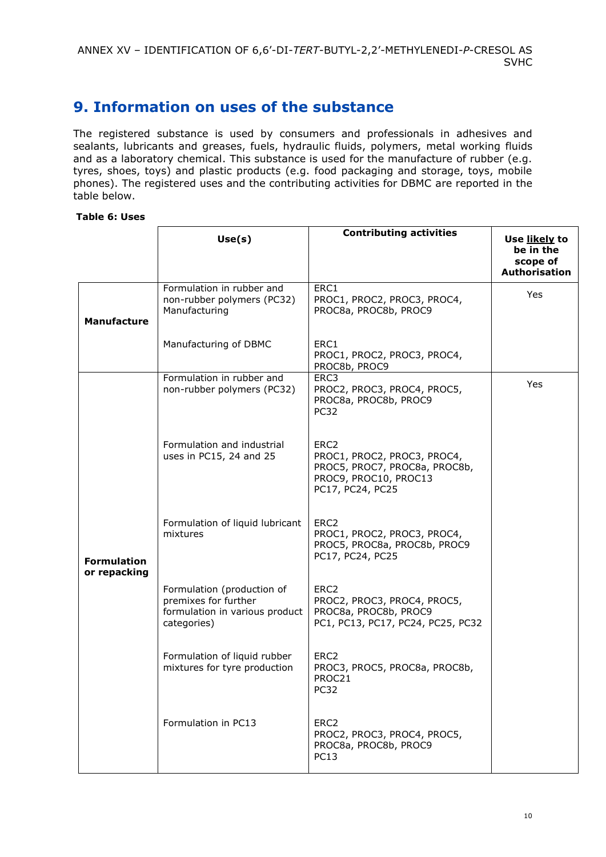# <span id="page-9-0"></span>**9. Information on uses of the substance**

The registered substance is used by consumers and professionals in adhesives and sealants, lubricants and greases, fuels, hydraulic fluids, polymers, metal working fluids and as a laboratory chemical. This substance is used for the manufacture of rubber (e.g. tyres, shoes, toys) and plastic products (e.g. food packaging and storage, toys, mobile phones). The registered uses and the contributing activities for DBMC are reported in the table below.

#### <span id="page-9-1"></span>**Table 6: Uses**

|  |                                    | Use(s)                                                                                              | <b>Contributing activities</b>                                                                                                | Use likely to<br>be in the<br>scope of<br><b>Authorisation</b> |
|--|------------------------------------|-----------------------------------------------------------------------------------------------------|-------------------------------------------------------------------------------------------------------------------------------|----------------------------------------------------------------|
|  | <b>Manufacture</b>                 | Formulation in rubber and<br>non-rubber polymers (PC32)<br>Manufacturing                            | ERC1<br>PROC1, PROC2, PROC3, PROC4,<br>PROC8a, PROC8b, PROC9                                                                  | Yes                                                            |
|  |                                    | Manufacturing of DBMC                                                                               | ERC1<br>PROC1, PROC2, PROC3, PROC4,<br>PROC8b, PROC9                                                                          |                                                                |
|  |                                    | Formulation in rubber and<br>non-rubber polymers (PC32)                                             | ERC3<br>PROC2, PROC3, PROC4, PROC5,<br>PROC8a, PROC8b, PROC9<br>PC <sub>32</sub>                                              | Yes                                                            |
|  |                                    | Formulation and industrial<br>uses in PC15, 24 and 25                                               | ERC <sub>2</sub><br>PROC1, PROC2, PROC3, PROC4,<br>PROC5, PROC7, PROC8a, PROC8b,<br>PROC9, PROC10, PROC13<br>PC17, PC24, PC25 |                                                                |
|  | <b>Formulation</b><br>or repacking | Formulation of liquid lubricant<br>mixtures                                                         | ERC <sub>2</sub><br>PROC1, PROC2, PROC3, PROC4,<br>PROC5, PROC8a, PROC8b, PROC9<br>PC17, PC24, PC25                           |                                                                |
|  |                                    | Formulation (production of<br>premixes for further<br>formulation in various product<br>categories) | ERC <sub>2</sub><br>PROC2, PROC3, PROC4, PROC5,<br>PROC8a, PROC8b, PROC9<br>PC1, PC13, PC17, PC24, PC25, PC32                 |                                                                |
|  |                                    | Formulation of liquid rubber<br>mixtures for tyre production                                        | ERC <sub>2</sub><br>PROC3, PROC5, PROC8a, PROC8b,<br>PROC21<br>PC32                                                           |                                                                |
|  |                                    | Formulation in PC13                                                                                 | ERC <sub>2</sub><br>PROC2, PROC3, PROC4, PROC5,<br>PROC8a, PROC8b, PROC9<br><b>PC13</b>                                       |                                                                |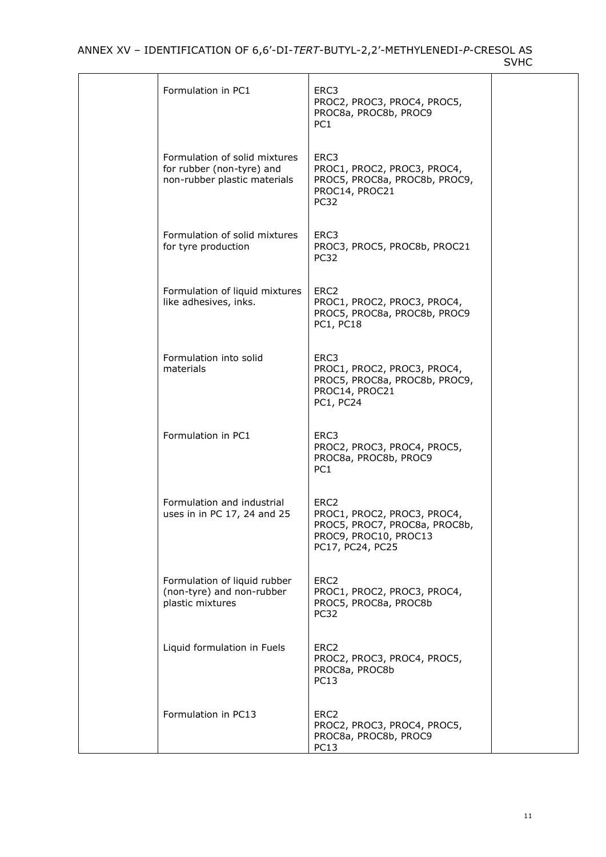| Formulation in PC1                                                                         | ERC3<br>PROC2, PROC3, PROC4, PROC5,<br>PROC8a, PROC8b, PROC9<br>PC <sub>1</sub>                                               |  |
|--------------------------------------------------------------------------------------------|-------------------------------------------------------------------------------------------------------------------------------|--|
| Formulation of solid mixtures<br>for rubber (non-tyre) and<br>non-rubber plastic materials | ERC3<br>PROC1, PROC2, PROC3, PROC4,<br>PROC5, PROC8a, PROC8b, PROC9,<br>PROC14, PROC21<br><b>PC32</b>                         |  |
| Formulation of solid mixtures<br>for tyre production                                       | ERC3<br>PROC3, PROC5, PROC8b, PROC21<br>PC <sub>32</sub>                                                                      |  |
| Formulation of liquid mixtures<br>like adhesives, inks.                                    | ERC <sub>2</sub><br>PROC1, PROC2, PROC3, PROC4,<br>PROC5, PROC8a, PROC8b, PROC9<br><b>PC1, PC18</b>                           |  |
| Formulation into solid<br>materials                                                        | ERC3<br>PROC1, PROC2, PROC3, PROC4,<br>PROC5, PROC8a, PROC8b, PROC9,<br>PROC14, PROC21<br><b>PC1, PC24</b>                    |  |
| Formulation in PC1                                                                         | ERC3<br>PROC2, PROC3, PROC4, PROC5,<br>PROC8a, PROC8b, PROC9<br>PC <sub>1</sub>                                               |  |
| Formulation and industrial<br>uses in in PC 17, 24 and 25                                  | ERC <sub>2</sub><br>PROC1, PROC2, PROC3, PROC4,<br>PROC5, PROC7, PROC8a, PROC8b,<br>PROC9, PROC10, PROC13<br>PC17, PC24, PC25 |  |
| Formulation of liquid rubber<br>(non-tyre) and non-rubber<br>plastic mixtures              | ERC <sub>2</sub><br>PROC1, PROC2, PROC3, PROC4,<br>PROC5, PROC8a, PROC8b<br>PC32                                              |  |
| Liquid formulation in Fuels                                                                | ERC <sub>2</sub><br>PROC2, PROC3, PROC4, PROC5,<br>PROC8a, PROC8b<br><b>PC13</b>                                              |  |
| Formulation in PC13                                                                        | ERC <sub>2</sub><br>PROC2, PROC3, PROC4, PROC5,<br>PROC8a, PROC8b, PROC9<br>PC13                                              |  |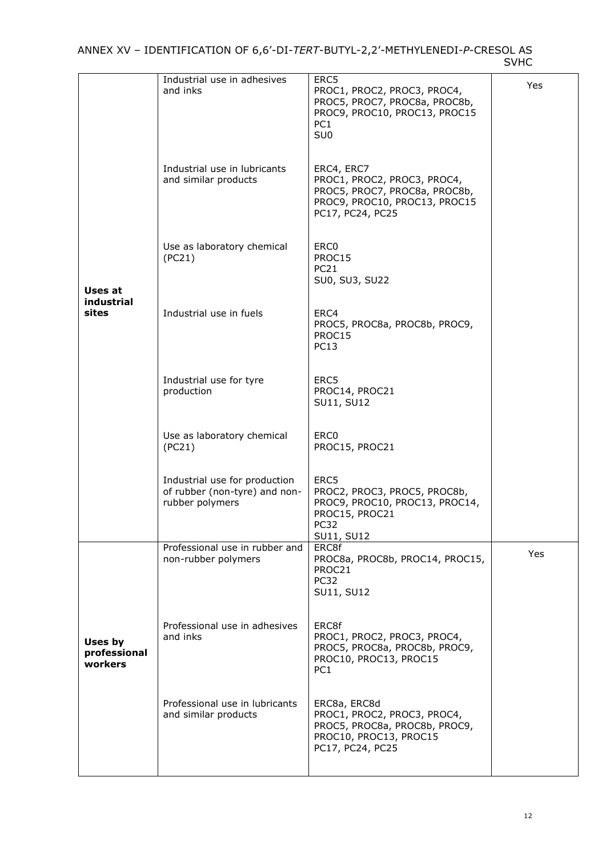|                                    | Industrial use in adhesives<br>and inks                                           | ERC5<br>PROC1, PROC2, PROC3, PROC4,<br>PROC5, PROC7, PROC8a, PROC8b,<br>PROC9, PROC10, PROC13, PROC15<br>PC <sub>1</sub><br>SU <sub>0</sub> | Yes |
|------------------------------------|-----------------------------------------------------------------------------------|---------------------------------------------------------------------------------------------------------------------------------------------|-----|
|                                    | Industrial use in lubricants<br>and similar products                              | ERC4, ERC7<br>PROC1, PROC2, PROC3, PROC4,<br>PROC5, PROC7, PROC8a, PROC8b,<br>PROC9, PROC10, PROC13, PROC15<br>PC17, PC24, PC25             |     |
| Uses at                            | Use as laboratory chemical<br>(PC21)                                              | ERC <sub>0</sub><br>PROC15<br><b>PC21</b><br>SU0, SU3, SU22                                                                                 |     |
| industrial<br>sites                | Industrial use in fuels                                                           | ERC4<br>PROC5, PROC8a, PROC8b, PROC9,<br>PROC15<br><b>PC13</b>                                                                              |     |
|                                    | Industrial use for tyre<br>production                                             | ERC5<br>PROC14, PROC21<br>SU11, SU12                                                                                                        |     |
|                                    | Use as laboratory chemical<br>(PC21)                                              | ERC <sub>0</sub><br>PROC15, PROC21                                                                                                          |     |
|                                    | Industrial use for production<br>of rubber (non-tyre) and non-<br>rubber polymers | ERC5<br>PROC2, PROC3, PROC5, PROC8b,<br>PROC9, PROC10, PROC13, PROC14,<br>PROC15, PROC21<br>PC <sub>32</sub><br>SU11, SU12                  |     |
|                                    | Professional use in rubber and<br>non-rubber polymers                             | ERC8f<br>PROC8a, PROC8b, PROC14, PROC15,<br>PROC21<br>PC32<br>SU11, SU12                                                                    | Yes |
| Uses by<br>professional<br>workers | Professional use in adhesives<br>and inks                                         | ERC8f<br>PROC1, PROC2, PROC3, PROC4,<br>PROC5, PROC8a, PROC8b, PROC9,<br>PROC10, PROC13, PROC15<br>PC <sub>1</sub>                          |     |
|                                    | Professional use in lubricants<br>and similar products                            | ERC8a, ERC8d<br>PROC1, PROC2, PROC3, PROC4,<br>PROC5, PROC8a, PROC8b, PROC9,<br>PROC10, PROC13, PROC15<br>PC17, PC24, PC25                  |     |
|                                    |                                                                                   |                                                                                                                                             |     |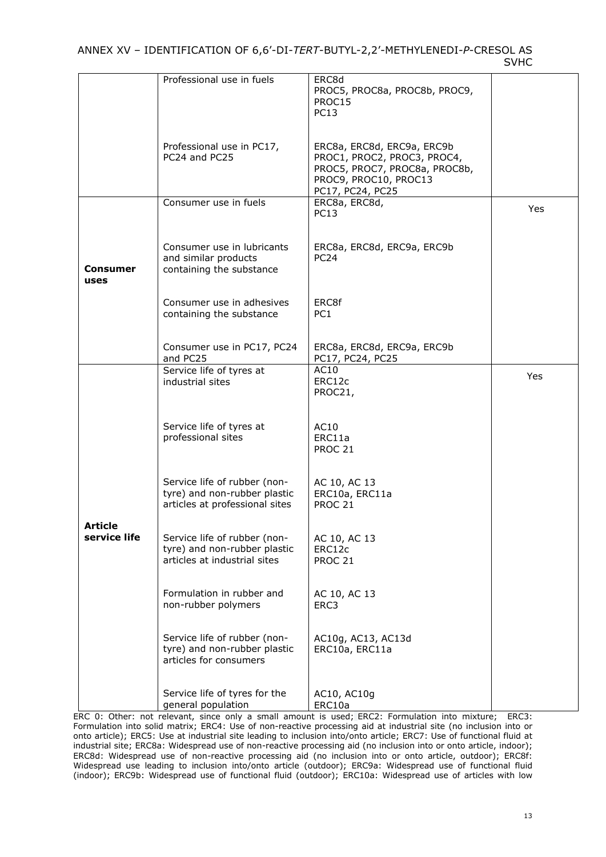|                                | Professional use in fuels                                                                      | ERC8d<br>PROC5, PROC8a, PROC8b, PROC9,<br>PROC15<br><b>PC13</b>                                                                         |     |
|--------------------------------|------------------------------------------------------------------------------------------------|-----------------------------------------------------------------------------------------------------------------------------------------|-----|
|                                | Professional use in PC17,<br>PC24 and PC25                                                     | ERC8a, ERC8d, ERC9a, ERC9b<br>PROC1, PROC2, PROC3, PROC4,<br>PROC5, PROC7, PROC8a, PROC8b,<br>PROC9, PROC10, PROC13<br>PC17, PC24, PC25 |     |
|                                | Consumer use in fuels                                                                          | ERC8a, ERC8d,<br><b>PC13</b>                                                                                                            | Yes |
| Consumer<br>uses               | Consumer use in lubricants<br>and similar products<br>containing the substance                 | ERC8a, ERC8d, ERC9a, ERC9b<br>PC <sub>24</sub>                                                                                          |     |
|                                | Consumer use in adhesives<br>containing the substance                                          | ERC8f<br>PC <sub>1</sub>                                                                                                                |     |
|                                | Consumer use in PC17, PC24<br>and PC25                                                         | ERC8a, ERC8d, ERC9a, ERC9b<br>PC17, PC24, PC25                                                                                          |     |
|                                | Service life of tyres at<br>industrial sites                                                   | AC10<br>ERC12c<br>PROC21,                                                                                                               | Yes |
|                                | Service life of tyres at<br>professional sites                                                 | AC10<br>ERC11a<br><b>PROC 21</b>                                                                                                        |     |
|                                | Service life of rubber (non-<br>tyre) and non-rubber plastic<br>articles at professional sites | AC 10, AC 13<br>ERC10a, ERC11a<br><b>PROC 21</b>                                                                                        |     |
| <b>Article</b><br>service life | Service life of rubber (non-<br>tyre) and non-rubber plastic<br>articles at industrial sites   | AC 10, AC 13<br>ERC12c<br><b>PROC 21</b>                                                                                                |     |
|                                | Formulation in rubber and<br>non-rubber polymers                                               | AC 10, AC 13<br>ERC3                                                                                                                    |     |
|                                | Service life of rubber (non-<br>tyre) and non-rubber plastic<br>articles for consumers         | AC10g, AC13, AC13d<br>ERC10a, ERC11a                                                                                                    |     |
|                                | Service life of tyres for the<br>general population                                            | AC10, AC10g<br>ERC10a                                                                                                                   |     |

ERC 0: Other: not relevant, since only a small amount is used; ERC2: Formulation into mixture; ERC3: Formulation into solid matrix; ERC4: Use of non-reactive processing aid at industrial site (no inclusion into or onto article); ERC5: Use at industrial site leading to inclusion into/onto article; ERC7: Use of functional fluid at industrial site; ERC8a: Widespread use of non-reactive processing aid (no inclusion into or onto article, indoor); ERC8d: Widespread use of non-reactive processing aid (no inclusion into or onto article, outdoor); ERC8f: Widespread use leading to inclusion into/onto article (outdoor); ERC9a: Widespread use of functional fluid (indoor); ERC9b: Widespread use of functional fluid (outdoor); ERC10a: Widespread use of articles with low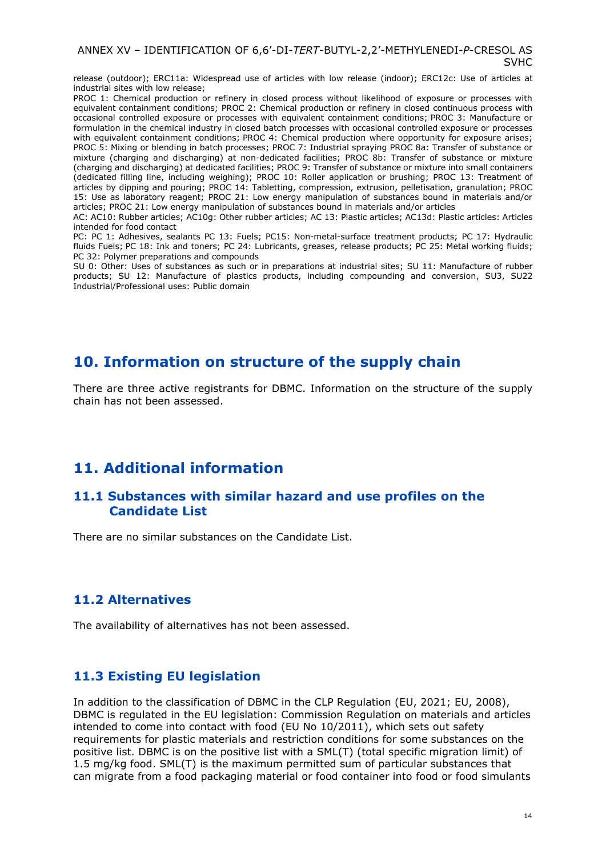release (outdoor); ERC11a: Widespread use of articles with low release (indoor); ERC12c: Use of articles at industrial sites with low release;

PROC 1: Chemical production or refinery in closed process without likelihood of exposure or processes with equivalent containment conditions; PROC 2: Chemical production or refinery in closed continuous process with occasional controlled exposure or processes with equivalent containment conditions; PROC 3: Manufacture or formulation in the chemical industry in closed batch processes with occasional controlled exposure or processes with equivalent containment conditions; PROC 4: Chemical production where opportunity for exposure arises; PROC 5: Mixing or blending in batch processes; PROC 7: Industrial spraying PROC 8a: Transfer of substance or mixture (charging and discharging) at non-dedicated facilities; PROC 8b: Transfer of substance or mixture (charging and discharging) at dedicated facilities; PROC 9: Transfer of substance or mixture into small containers (dedicated filling line, including weighing); PROC 10: Roller application or brushing; PROC 13: Treatment of articles by dipping and pouring; PROC 14: Tabletting, compression, extrusion, pelletisation, granulation; PROC 15: Use as laboratory reagent; PROC 21: Low energy manipulation of substances bound in materials and/or articles; PROC 21: Low energy manipulation of substances bound in materials and/or articles

AC: AC10: Rubber articles; AC10g: Other rubber articles; AC 13: Plastic articles; AC13d: Plastic articles: Articles intended for food contact

PC: PC 1: Adhesives, sealants PC 13: Fuels; PC15: Non-metal-surface treatment products; PC 17: Hydraulic fluids Fuels; PC 18: Ink and toners; PC 24: Lubricants, greases, release products; PC 25: Metal working fluids; PC 32: Polymer preparations and compounds

SU 0: Other: Uses of substances as such or in preparations at industrial sites; SU 11: Manufacture of rubber products; SU 12: Manufacture of plastics products, including compounding and conversion, SU3, SU22 Industrial/Professional uses: Public domain

## <span id="page-13-0"></span>**10. Information on structure of the supply chain**

There are three active registrants for DBMC. Information on the structure of the supply chain has not been assessed.

## <span id="page-13-1"></span>**11. Additional information**

### <span id="page-13-2"></span>**11.1 Substances with similar hazard and use profiles on the Candidate List**

There are no similar substances on the Candidate List.

### <span id="page-13-3"></span>**11.2 Alternatives**

The availability of alternatives has not been assessed.

### <span id="page-13-4"></span>**11.3 Existing EU legislation**

In addition to the classification of DBMC in the CLP Regulation (EU, 2021; EU, 2008), DBMC is regulated in the EU legislation: Commission Regulation on materials and articles intended to come into contact with food (EU No 10/2011), which sets out safety requirements for plastic materials and restriction conditions for some substances on the positive list. DBMC is on the positive list with a SML(T) (total specific migration limit) of 1.5 mg/kg food. SML(T) is the maximum permitted sum of particular substances that can migrate from a food packaging material or food container into food or food simulants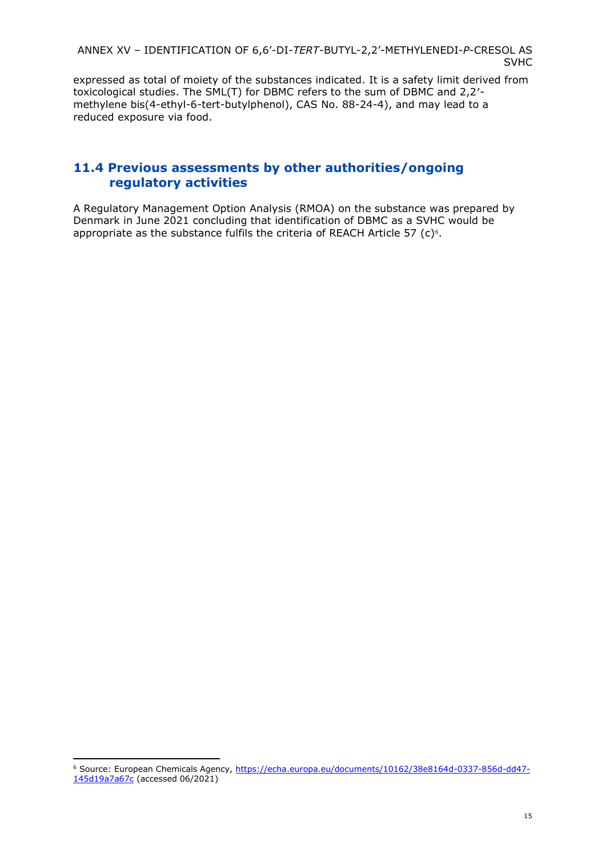expressed as total of moiety of the substances indicated. It is a safety limit derived from toxicological studies. The SML(T) for DBMC refers to the sum of DBMC and 2,2′ methylene bis(4-ethyl-6-tert-butylphenol), CAS No. 88-24-4), and may lead to a reduced exposure via food.

### <span id="page-14-0"></span>**11.4 Previous assessments by other authorities/ongoing regulatory activities**

A Regulatory Management Option Analysis (RMOA) on the substance was prepared by Denmark in June 2021 concluding that identification of DBMC as a SVHC would be appropriate as the substance fulfils the criteria of REACH Article 57 (c) $\epsilon$ .

<sup>6</sup> Source: European Chemicals Agency, [https://echa.europa.eu/documents/10162/38e8164d-0337-856d-dd47-](https://echa.europa.eu/documents/10162/38e8164d-0337-856d-dd47-145d19a7a67c) [145d19a7a67c](https://echa.europa.eu/documents/10162/38e8164d-0337-856d-dd47-145d19a7a67c) (accessed 06/2021)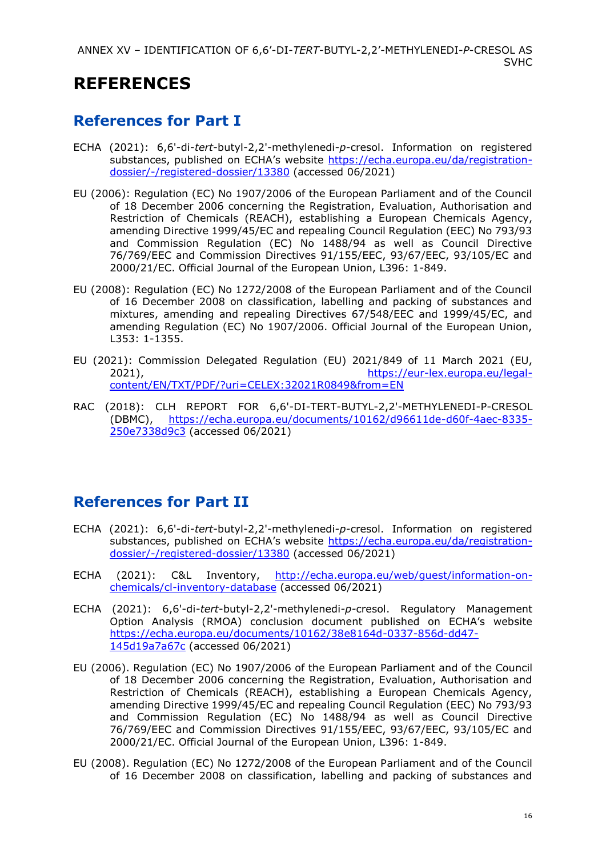# **REFERENCES**

# <span id="page-15-0"></span>**References for Part I**

- ECHA (2021): 6,6'-di-*tert*-butyl-2,2'-methylenedi*-p-*cresol. Information on registered substances, published on ECHA's website [https://echa.europa.eu/da/registration](https://echa.europa.eu/da/registration-dossier/-/registered-dossier/13380)[dossier/-/registered-dossier/13380](https://echa.europa.eu/da/registration-dossier/-/registered-dossier/13380) (accessed 06/2021)
- EU (2006): Regulation (EC) No 1907/2006 of the European Parliament and of the Council of 18 December 2006 concerning the Registration, Evaluation, Authorisation and Restriction of Chemicals (REACH), establishing a European Chemicals Agency, amending Directive 1999/45/EC and repealing Council Regulation (EEC) No 793/93 and Commission Regulation (EC) No 1488/94 as well as Council Directive 76/769/EEC and Commission Directives 91/155/EEC, 93/67/EEC, 93/105/EC and 2000/21/EC. Official Journal of the European Union, L396: 1-849.
- EU (2008): Regulation (EC) No 1272/2008 of the European Parliament and of the Council of 16 December 2008 on classification, labelling and packing of substances and mixtures, amending and repealing Directives 67/548/EEC and 1999/45/EC, and amending Regulation (EC) No 1907/2006. Official Journal of the European Union, L353: 1-1355.
- EU (2021): Commission Delegated Regulation (EU) 2021/849 of 11 March 2021 (EU,<br>https://eur-lex.europa.eu/legal[https://eur-lex.europa.eu/legal](https://eur-lex.europa.eu/legal-content/EN/TXT/PDF/?uri=CELEX:32021R0849&from=EN)[content/EN/TXT/PDF/?uri=CELEX:32021R0849&from=EN](https://eur-lex.europa.eu/legal-content/EN/TXT/PDF/?uri=CELEX:32021R0849&from=EN)
- RAC (2018): CLH REPORT FOR 6,6'-DI-TERT-BUTYL-2,2'-METHYLENEDI-P-CRESOL (DBMC), [https://echa.europa.eu/documents/10162/d96611de-d60f-4aec-8335-](https://echa.europa.eu/documents/10162/d96611de-d60f-4aec-8335-250e7338d9c3) [250e7338d9c3](https://echa.europa.eu/documents/10162/d96611de-d60f-4aec-8335-250e7338d9c3) (accessed 06/2021)

# <span id="page-15-1"></span>**References for Part II**

- ECHA (2021): 6,6'-di-*tert*-butyl-2,2'-methylenedi*-p-*cresol. Information on registered substances, published on ECHA's website [https://echa.europa.eu/da/registration](https://echa.europa.eu/da/registration-dossier/-/registered-dossier/13380)[dossier/-/registered-dossier/13380](https://echa.europa.eu/da/registration-dossier/-/registered-dossier/13380) (accessed 06/2021)
- ECHA (2021): C&L Inventory, [http://echa.europa.eu/web/guest/information-on](http://echa.europa.eu/web/guest/information-on-chemicals/cl-inventory-database)[chemicals/cl-inventory-database](http://echa.europa.eu/web/guest/information-on-chemicals/cl-inventory-database) (accessed 06/2021)
- ECHA (2021): 6,6'-di-*tert*-butyl-2,2'-methylenedi*-p-*cresol. Regulatory Management Option Analysis (RMOA) conclusion document published on ECHA's website [https://echa.europa.eu/documents/10162/38e8164d-0337-856d-dd47-](https://echa.europa.eu/documents/10162/38e8164d-0337-856d-dd47-145d19a7a67c) [145d19a7a67c](https://echa.europa.eu/documents/10162/38e8164d-0337-856d-dd47-145d19a7a67c) (accessed 06/2021)
- EU (2006). Regulation (EC) No 1907/2006 of the European Parliament and of the Council of 18 December 2006 concerning the Registration, Evaluation, Authorisation and Restriction of Chemicals (REACH), establishing a European Chemicals Agency, amending Directive 1999/45/EC and repealing Council Regulation (EEC) No 793/93 and Commission Regulation (EC) No 1488/94 as well as Council Directive 76/769/EEC and Commission Directives 91/155/EEC, 93/67/EEC, 93/105/EC and 2000/21/EC. Official Journal of the European Union, L396: 1-849.
- EU (2008). Regulation (EC) No 1272/2008 of the European Parliament and of the Council of 16 December 2008 on classification, labelling and packing of substances and